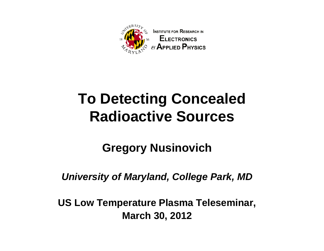

### **To Detecting Concealed Radioactive Sources**

**Gregory Nusinovich**

*University of Maryland, College Park, MD*

**US Low Temperature Plasma Teleseminar, March 30, 2012**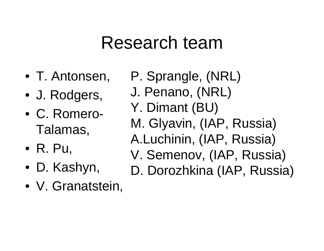# Research team

- T. Antonsen,
- J. Rodgers,
- C. Romero-Talamas,
- R. Pu,
- D. Kashyn,
- V. Granatstein,
- P. Sprangle, (NRL)
- J. Penano, (NRL)
- Y. Dimant (BU)
- M. Glyavin, (IAP, Russia)
- A.Luchinin, (IAP, Russia)
- V. Semenov, (IAP, Russia)
- D. Dorozhkina (IAP, Russia)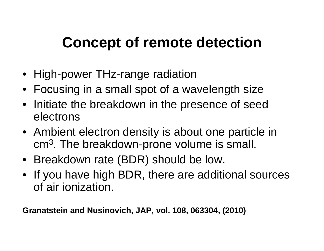### **Concept of remote detection**

- High-power THz-range radiation
- Focusing in a small spot of a wavelength size
- Initiate the breakdown in the presence of seed electrons
- Ambient electron density is about one particle in cm 3. The breakdown-prone volume is small.
- Breakdown rate (BDR) should be low.
- If you have high BDR, there are additional sources of air ionization.

**Granatstein and Nusinovich, JAP, vol. 108, 063304, (2010)**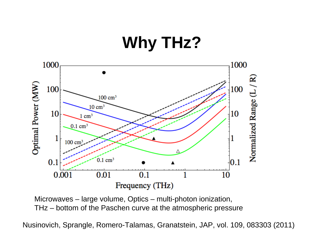## **Why THz?**



Microwaves – large volume, Optics – multi-photon ionization, THz – bottom of the Paschen curve at the atmospheric pressure

Nusinovich, Sprangle, Romero-Talamas, Granatstein, JAP, vol. 109, 083303 (2011)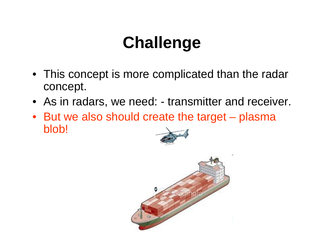# **Challenge**

- This concept is more complicated than the radar concept.
- As in radars, we need: transmitter and receiver.
- But we also should create the target plasma blob!



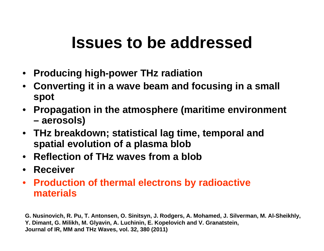## **Issues to be addressed**

- $\bullet$ **Producing high-power THz radiation**
- **Converting it in a wave beam and focusing in a small spot**
- **Propagation in the atmosphere (maritime environment – aerosols)**
- **THz breakdown; statistical lag time, temporal and spatial evolution of a plasma blob**
- **Reflection of THz waves from a blob**
- **Receiver**
- **Production of thermal electrons by radioactive materials**

**G. Nusinovich, R. Pu, T. Antonsen, O. Sinitsyn, J. Rodgers, A. Mohamed, J. Silverman, M. Al-Sheikhly, Y. Dimant, G. Milikh, M. Glyavin, A. Luchinin, E. Kopelovich and V. Granatstein, Journal of IR, MM and THz Waves, vol. 32, 380 (2011)**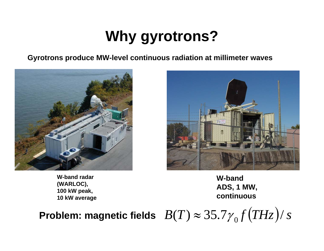## **Why gyrotrons?**

**Gyrotrons produce MW-level continuous radiation at millimeter waves**



**W-band radar (WARLOC), 100 kW peak, 10 kW average** **W-bandADS, 1 MW, continuous**

Problem: magnetic fields  $\ B(T)\approx 35.7{\gamma}_0 f\big(\overline{THz}\big)$ / *s* 0 $\approx$  35.17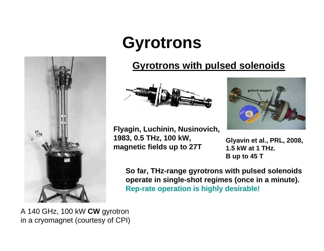

# **Gyrotrons**

#### **Gyrotrons with pulsed solenoids**





pulsed magnet

**B up to 45 T**

**So far, THz-range gyrotrons with pulsed solenoids operate in single-shot regimes (once in a minute). Rep-rate operation is highly desirable!**

A 140 GHz, 100 kW **CW** gyrotron in a cryomagnet (courtesy of CPI)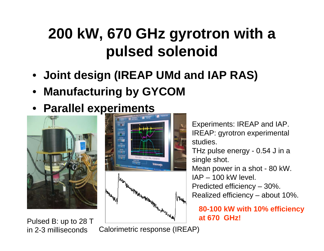## **200 kW, 670 GHz gyrotron with a pulsed solenoid**

- **Joint design (IREAP UMd and IAP RAS)**
- **Manufacturing by GYCOM**
- **Parallel experiments**



Pulsed B: up to 28 T in 2-3 milliseconds



Calorimetric response (IREAP)

Experiments: IREAP and IAP. IREAP: gyrotron experimental studies.THz pulse energy - 0.54 J in a single shot. Mean power in a shot - 80 kW.  $IAP - 100$  kW level. Predicted efficiency – 30%. Realized efficiency – about 10%.

**80-100 kW with 10% efficiency at 670 GHz!**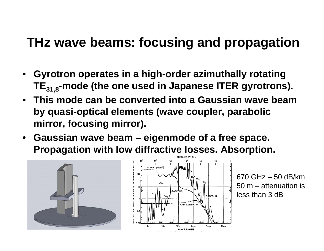### **THz wave beams: focusing and propagation**

- **Gyrotron operates in a high-order azimuthally rotating**  TE<sub>31.8</sub>-mode (the one used in Japanese ITER gyrotrons).
- **This mode can be converted into a Gaussian wave beam by quasi-optical elements (wave coupler, parabolic mirror, focusing mirror).**
- **Gaussian wave beam – eigenmode of a free space. Propagation with low diffractive losses. Absorption.**





670 GHz – 50 dB/km50 m – attenuation isless than 3 dB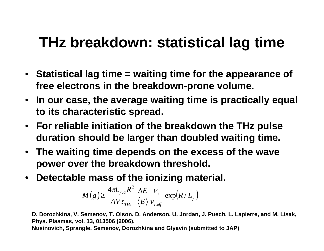## **THz breakdown: statistical lag time**

- **Statistical lag time = waiting time for the appearance of free electrons in the breakdown-prone volume.**
- **In our case, the average waiting time is practically equal to its characteristic spread.**
- **For reliable initiation of the breakdown the THz pulse duration should be larger than doubled waiting time.**
- **The waiting time depends on the excess of the wave power over the breakdown threshold.**
- $\bullet$ **Detectable mass of the ionizing material.**

$$
M(g) \geq \frac{4\pi L_{\gamma,a}R^2}{A V \tau_{THz}} \frac{\Delta E}{\langle E \rangle} \frac{V_i}{V_{i,eff}} \exp(R/L_{\gamma})
$$

**D. Dorozhkina, V. Semenov, T. Olson, D. Anderson, U. Jordan, J. Puech, L. Lapierre, and M. Lisak, Phys. Plasmas, vol. 13, 013506 (2006).**

**Nusinovich, Sprangle, Semenov, Dorozhkina and Glyavin (submitted to JAP)**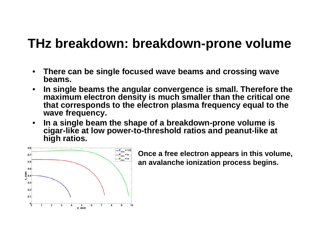### **THz breakdown: breakdown-prone volume**

- $\bullet$  **There can be single focused wave beams and crossing wave beams.**
- $\bullet$  **In single beams the angular convergence is small. Therefore the maximum electron density is much smaller than the critical one that corresponds to the electron plasma frequency equal to the wave frequency.**
- $\bullet$  **In a single beam the shape of a breakdown-prone volume is cigar-like at low power-to-threshold ratios and peanut-like at high ratios.**



**Once a free electron appears in this volume, an avalanche ionization process begins.**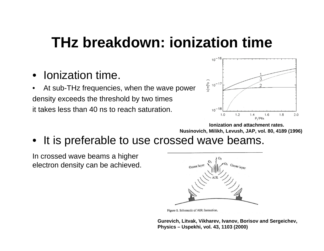### **THz breakdown: ionization time**

- •Ionization time.
- • At sub-THz frequencies, when the wave power density exceeds the threshold by two times it takes less than 40 ns to reach saturation.



**Ionization and attachment rates. Nusinovich, Milikh, Levush, JAP, vol. 80, 4189 (1996)**

•It is preferable to use crossed wave beams.

In crossed wave beams a higher electron density can be achieved.



Figure 1. Schematic of AIR formation.

**Gurevich, Litvak, Vikharev, Ivanov, Borisov and Sergeichev, Physics – Uspekhi, vol. 43, 1103 (2000)**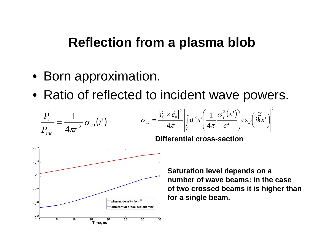### **Reflection from a plasma blob**

- Born approximation.
- Ratio of reflected to incident wave powers.

$$
\frac{\vec{P}_s}{\vec{P}_{inc}} = \frac{1}{4\pi r^2} \sigma_D(\vec{r}) \qquad \qquad \sigma_D = \frac{|\vec{r}_0 \times \vec{e}_0|^2}{4\pi} \left| \int_V d^3x' \left( \frac{1}{4\pi} \frac{\omega_p^2(x')}{c^2} \right) \exp\left(i\vec{k}x'\right) \right|^2
$$



**Differential cross-section**

**Saturation level depends on a number of wave beams: in the case of two crossed beams it is higher than for a single beam.**